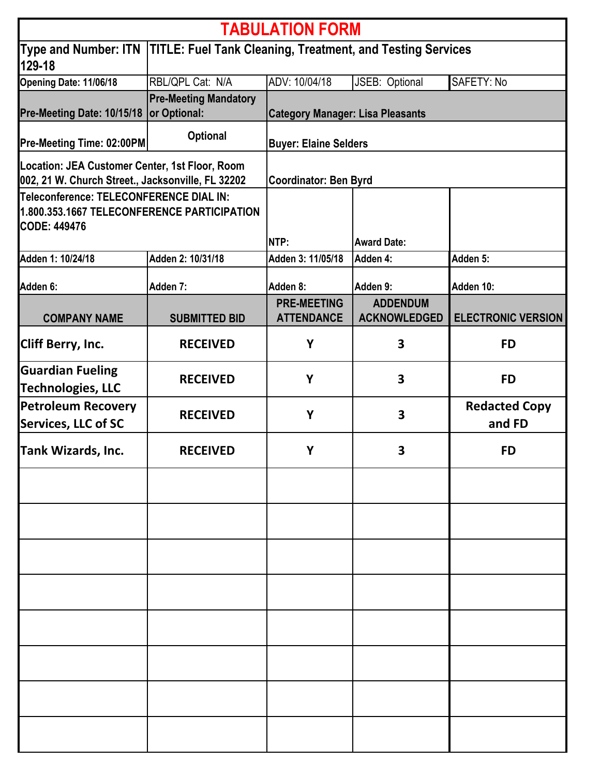| <b>TABULATION FORM</b>                                                                                        |                              |                                                                                  |                                        |                                |  |
|---------------------------------------------------------------------------------------------------------------|------------------------------|----------------------------------------------------------------------------------|----------------------------------------|--------------------------------|--|
| 129-18                                                                                                        |                              | Type and Number: ITN  TITLE: Fuel Tank Cleaning, Treatment, and Testing Services |                                        |                                |  |
| Opening Date: 11/06/18                                                                                        | RBL/QPL Cat: N/A             | ADV: 10/04/18                                                                    | JSEB: Optional                         | SAFETY: No                     |  |
|                                                                                                               | <b>Pre-Meeting Mandatory</b> |                                                                                  |                                        |                                |  |
| Pre-Meeting Date: 10/15/18                                                                                    | or Optional:                 | <b>Category Manager: Lisa Pleasants</b>                                          |                                        |                                |  |
| Pre-Meeting Time: 02:00PM                                                                                     | <b>Optional</b>              | <b>Buyer: Elaine Selders</b>                                                     |                                        |                                |  |
| Location: JEA Customer Center, 1st Floor, Room<br>002, 21 W. Church Street., Jacksonville, FL 32202           |                              | <b>Coordinator: Ben Byrd</b>                                                     |                                        |                                |  |
| Teleconference: TELECONFERENCE DIAL IN:<br>1.800.353.1667 TELECONFERENCE PARTICIPATION<br><b>CODE: 449476</b> |                              | NTP:                                                                             | <b>Award Date:</b>                     |                                |  |
| Adden 1: 10/24/18                                                                                             | Adden 2: 10/31/18            | Adden 3: 11/05/18                                                                | Adden 4:                               | Adden 5:                       |  |
| Adden 6:                                                                                                      | Adden 7:                     | Adden 8:                                                                         | Adden 9:                               | Adden 10:                      |  |
| <b>COMPANY NAME</b>                                                                                           | <b>SUBMITTED BID</b>         | <b>PRE-MEETING</b><br><b>ATTENDANCE</b>                                          | <b>ADDENDUM</b><br><b>ACKNOWLEDGED</b> | <b>ELECTRONIC VERSION</b>      |  |
| Cliff Berry, Inc.                                                                                             | <b>RECEIVED</b>              | Y                                                                                | 3                                      | <b>FD</b>                      |  |
| <b>Guardian Fueling</b><br><b>Technologies, LLC</b>                                                           | <b>RECEIVED</b>              | Y                                                                                | 3                                      | <b>FD</b>                      |  |
| <b>Petroleum Recovery</b><br><b>Services, LLC of SC</b>                                                       | <b>RECEIVED</b>              | Y                                                                                | 3                                      | <b>Redacted Copy</b><br>and FD |  |
| <b>Tank Wizards, Inc.</b>                                                                                     | <b>RECEIVED</b>              | Υ                                                                                | 3                                      | <b>FD</b>                      |  |
|                                                                                                               |                              |                                                                                  |                                        |                                |  |
|                                                                                                               |                              |                                                                                  |                                        |                                |  |
|                                                                                                               |                              |                                                                                  |                                        |                                |  |
|                                                                                                               |                              |                                                                                  |                                        |                                |  |
|                                                                                                               |                              |                                                                                  |                                        |                                |  |
|                                                                                                               |                              |                                                                                  |                                        |                                |  |
|                                                                                                               |                              |                                                                                  |                                        |                                |  |
|                                                                                                               |                              |                                                                                  |                                        |                                |  |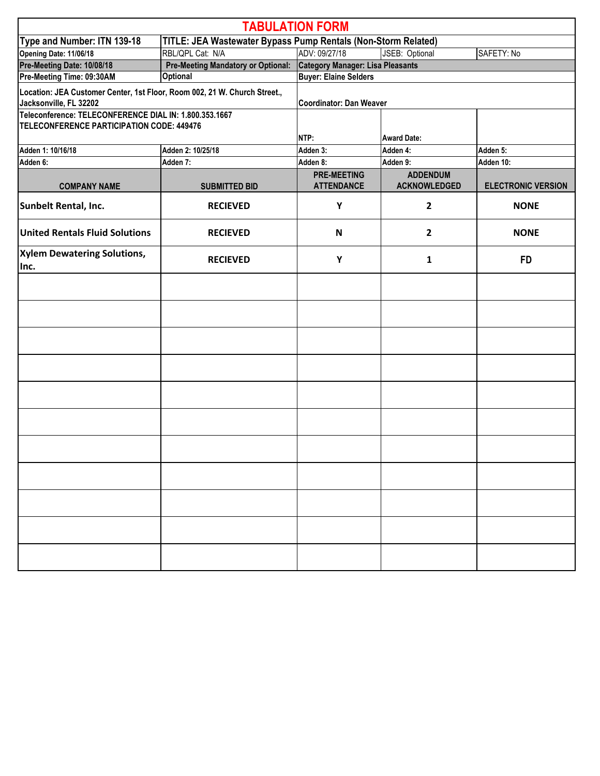|                                                                                                     |                                                               | <b>TABULATION FORM</b>                        |                                        |                           |  |
|-----------------------------------------------------------------------------------------------------|---------------------------------------------------------------|-----------------------------------------------|----------------------------------------|---------------------------|--|
| Type and Number: ITN 139-18                                                                         | TITLE: JEA Wastewater Bypass Pump Rentals (Non-Storm Related) |                                               |                                        |                           |  |
| Opening Date: 11/06/18                                                                              | RBL/QPL Cat: N/A                                              | ADV: 09/27/18<br>SAFETY: No<br>JSEB: Optional |                                        |                           |  |
| Pre-Meeting Date: 10/08/18                                                                          | <b>Pre-Meeting Mandatory or Optional:</b>                     | <b>Category Manager: Lisa Pleasants</b>       |                                        |                           |  |
| Pre-Meeting Time: 09:30AM                                                                           | <b>Optional</b>                                               | <b>Buyer: Elaine Selders</b>                  |                                        |                           |  |
| Location: JEA Customer Center, 1st Floor, Room 002, 21 W. Church Street.,<br>Jacksonville, FL 32202 |                                                               | Coordinator: Dan Weaver                       |                                        |                           |  |
| Teleconference: TELECONFERENCE DIAL IN: 1.800.353.1667<br>TELECONFERENCE PARTICIPATION CODE: 449476 |                                                               | NTP:                                          | <b>Award Date:</b>                     |                           |  |
| Adden 1: 10/16/18                                                                                   | Adden 2: 10/25/18                                             | Adden 3:                                      | Adden 4:                               | Adden 5:                  |  |
| Adden 6:                                                                                            | Adden 7:                                                      | Adden 8:                                      | Adden 9:                               | Adden 10:                 |  |
| <b>COMPANY NAME</b>                                                                                 | <b>SUBMITTED BID</b>                                          | <b>PRE-MEETING</b><br><b>ATTENDANCE</b>       | <b>ADDENDUM</b><br><b>ACKNOWLEDGED</b> | <b>ELECTRONIC VERSION</b> |  |
| Sunbelt Rental, Inc.                                                                                | <b>RECIEVED</b>                                               | Y                                             | $\mathbf{2}$                           | <b>NONE</b>               |  |
| <b>United Rentals Fluid Solutions</b>                                                               | <b>RECIEVED</b>                                               | N                                             | $\mathbf{2}$                           | <b>NONE</b>               |  |
| <b>Xylem Dewatering Solutions,</b><br>Inc.                                                          | <b>RECIEVED</b>                                               | Υ                                             | 1                                      | <b>FD</b>                 |  |
|                                                                                                     |                                                               |                                               |                                        |                           |  |
|                                                                                                     |                                                               |                                               |                                        |                           |  |
|                                                                                                     |                                                               |                                               |                                        |                           |  |
|                                                                                                     |                                                               |                                               |                                        |                           |  |
|                                                                                                     |                                                               |                                               |                                        |                           |  |
|                                                                                                     |                                                               |                                               |                                        |                           |  |
|                                                                                                     |                                                               |                                               |                                        |                           |  |
|                                                                                                     |                                                               |                                               |                                        |                           |  |
|                                                                                                     |                                                               |                                               |                                        |                           |  |
|                                                                                                     |                                                               |                                               |                                        |                           |  |
|                                                                                                     |                                                               |                                               |                                        |                           |  |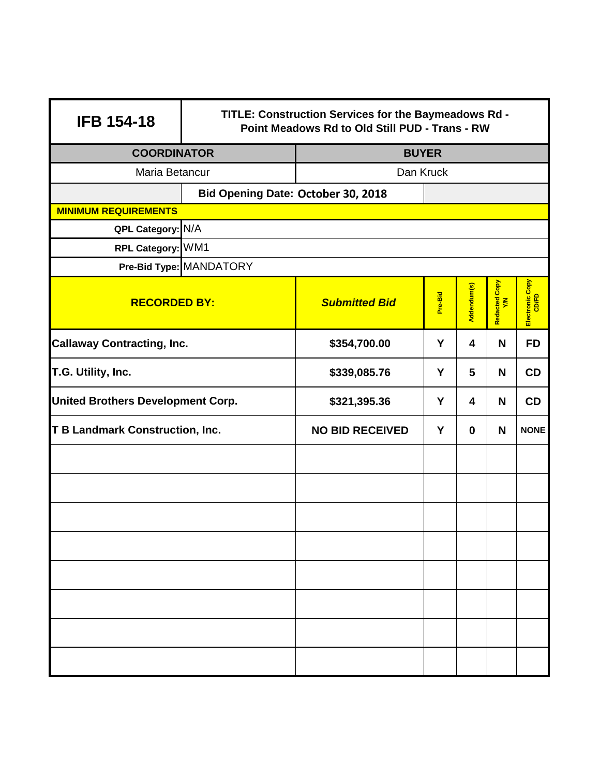| <b>IFB 154-18</b>                        | TITLE: Construction Services for the Baymeadows Rd -<br>Point Meadows Rd to Old Still PUD - Trans - RW |                                         |         |             |                     |                          |
|------------------------------------------|--------------------------------------------------------------------------------------------------------|-----------------------------------------|---------|-------------|---------------------|--------------------------|
| <b>COORDINATOR</b>                       |                                                                                                        | <b>BUYER</b>                            |         |             |                     |                          |
| Maria Betancur                           |                                                                                                        | Dan Kruck                               |         |             |                     |                          |
|                                          | Bid Opening Date: October 30, 2018                                                                     |                                         |         |             |                     |                          |
| <b>MINIMUM REQUIREMENTS</b>              |                                                                                                        |                                         |         |             |                     |                          |
| QPL Category: N/A                        |                                                                                                        |                                         |         |             |                     |                          |
| RPL Category: WM1                        |                                                                                                        |                                         |         |             |                     |                          |
|                                          | Pre-Bid Type: MANDATORY                                                                                |                                         |         |             |                     |                          |
| <b>RECORDED BY:</b>                      |                                                                                                        | <b>Submitted Bid</b>                    | Pre-Bid | Addendum(s) | Redacted Copy<br>YM | Electronic Copy<br>CD/FD |
| <b>Callaway Contracting, Inc.</b>        |                                                                                                        | Y<br>\$354,700.00<br>4                  |         | N           | <b>FD</b>           |                          |
| T.G. Utility, Inc.                       |                                                                                                        | 5<br>\$339,085.76<br>Y                  |         | N           | <b>CD</b>           |                          |
| <b>United Brothers Development Corp.</b> |                                                                                                        | \$321,395.36<br>Y<br>4                  |         | N           | CD                  |                          |
| <b>T B Landmark Construction, Inc.</b>   |                                                                                                        | Y<br><b>NO BID RECEIVED</b><br>$\bf{0}$ |         | N           | <b>NONE</b>         |                          |
|                                          |                                                                                                        |                                         |         |             |                     |                          |
|                                          |                                                                                                        |                                         |         |             |                     |                          |
|                                          |                                                                                                        |                                         |         |             |                     |                          |
|                                          |                                                                                                        |                                         |         |             |                     |                          |
|                                          |                                                                                                        |                                         |         |             |                     |                          |
|                                          |                                                                                                        |                                         |         |             |                     |                          |
|                                          |                                                                                                        |                                         |         |             |                     |                          |
|                                          |                                                                                                        |                                         |         |             |                     |                          |